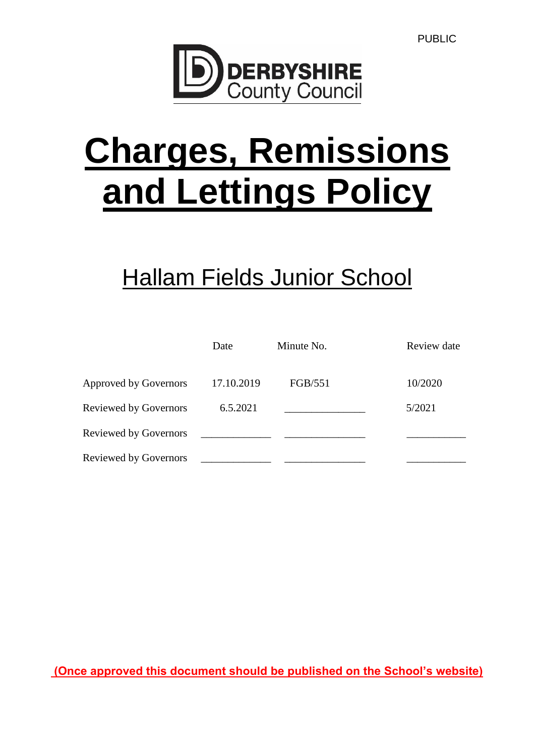

# **Charges, Remissions and Lettings Policy**

# **Hallam Fields Junior School**

|                              | Date       | Minute No. | Review date |
|------------------------------|------------|------------|-------------|
| <b>Approved by Governors</b> | 17.10.2019 | FGB/551    | 10/2020     |
| <b>Reviewed by Governors</b> | 6.5.2021   |            | 5/2021      |
| <b>Reviewed by Governors</b> |            |            |             |
| <b>Reviewed by Governors</b> |            |            |             |

**(Once approved this document should be published on the School's website)**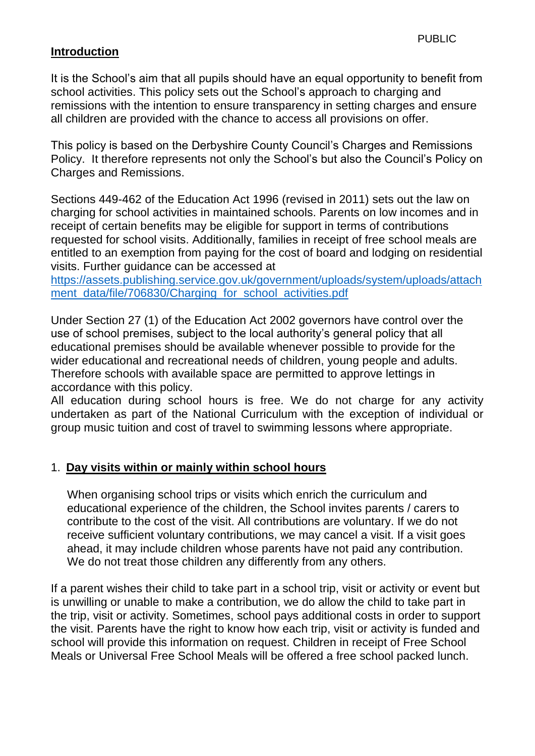#### **Introduction**

It is the School's aim that all pupils should have an equal opportunity to benefit from school activities. This policy sets out the School's approach to charging and remissions with the intention to ensure transparency in setting charges and ensure all children are provided with the chance to access all provisions on offer.

This policy is based on the Derbyshire County Council's Charges and Remissions Policy. It therefore represents not only the School's but also the Council's Policy on Charges and Remissions.

Sections 449-462 of the Education Act 1996 (revised in 2011) sets out the law on charging for school activities in maintained schools. Parents on low incomes and in receipt of certain benefits may be eligible for support in terms of contributions requested for school visits. Additionally, families in receipt of free school meals are entitled to an exemption from paying for the cost of board and lodging on residential visits. Further guidance can be accessed at

[https://assets.publishing.service.gov.uk/government/uploads/system/uploads/attach](https://assets.publishing.service.gov.uk/government/uploads/system/uploads/attachment_data/file/706830/Charging_for_school_activities.pdf) [ment\\_data/file/706830/Charging\\_for\\_school\\_activities.pdf](https://assets.publishing.service.gov.uk/government/uploads/system/uploads/attachment_data/file/706830/Charging_for_school_activities.pdf)

Under Section 27 (1) of the Education Act 2002 governors have control over the use of school premises, subject to the local authority's general policy that all educational premises should be available whenever possible to provide for the wider educational and recreational needs of children, young people and adults. Therefore schools with available space are permitted to approve lettings in accordance with this policy.

All education during school hours is free. We do not charge for any activity undertaken as part of the National Curriculum with the exception of individual or group music tuition and cost of travel to swimming lessons where appropriate.

#### 1. **Day visits within or mainly within school hours**

When organising school trips or visits which enrich the curriculum and educational experience of the children, the School invites parents / carers to contribute to the cost of the visit. All contributions are voluntary. If we do not receive sufficient voluntary contributions, we may cancel a visit. If a visit goes ahead, it may include children whose parents have not paid any contribution. We do not treat those children any differently from any others.

If a parent wishes their child to take part in a school trip, visit or activity or event but is unwilling or unable to make a contribution, we do allow the child to take part in the trip, visit or activity. Sometimes, school pays additional costs in order to support the visit. Parents have the right to know how each trip, visit or activity is funded and school will provide this information on request. Children in receipt of Free School Meals or Universal Free School Meals will be offered a free school packed lunch.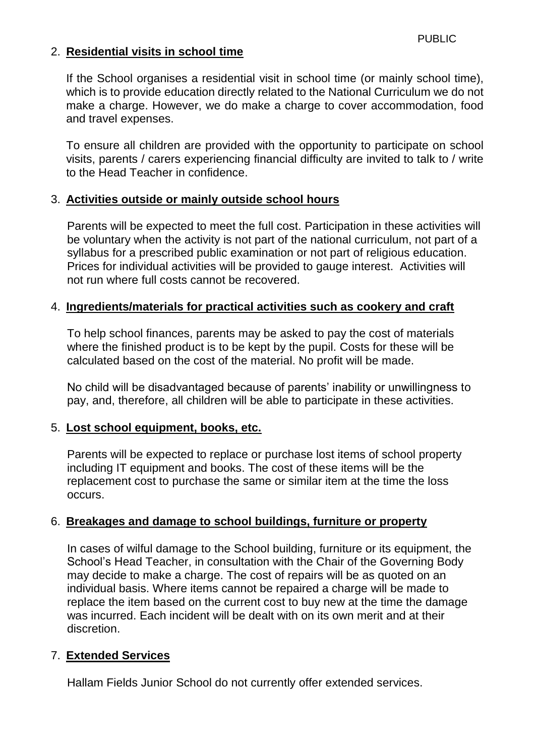### 2. **Residential visits in school time**

If the School organises a residential visit in school time (or mainly school time), which is to provide education directly related to the National Curriculum we do not make a charge. However, we do make a charge to cover accommodation, food and travel expenses.

To ensure all children are provided with the opportunity to participate on school visits, parents / carers experiencing financial difficulty are invited to talk to / write to the Head Teacher in confidence.

#### 3. **Activities outside or mainly outside school hours**

Parents will be expected to meet the full cost. Participation in these activities will be voluntary when the activity is not part of the national curriculum, not part of a syllabus for a prescribed public examination or not part of religious education. Prices for individual activities will be provided to gauge interest. Activities will not run where full costs cannot be recovered.

#### 4. **Ingredients/materials for practical activities such as cookery and craft**

To help school finances, parents may be asked to pay the cost of materials where the finished product is to be kept by the pupil. Costs for these will be calculated based on the cost of the material. No profit will be made.

No child will be disadvantaged because of parents' inability or unwillingness to pay, and, therefore, all children will be able to participate in these activities.

#### 5. **Lost school equipment, books, etc.**

Parents will be expected to replace or purchase lost items of school property including IT equipment and books. The cost of these items will be the replacement cost to purchase the same or similar item at the time the loss occurs.

#### 6. **Breakages and damage to school buildings, furniture or property**

In cases of wilful damage to the School building, furniture or its equipment, the School's Head Teacher, in consultation with the Chair of the Governing Body may decide to make a charge. The cost of repairs will be as quoted on an individual basis. Where items cannot be repaired a charge will be made to replace the item based on the current cost to buy new at the time the damage was incurred. Each incident will be dealt with on its own merit and at their discretion.

#### 7. **Extended Services**

Hallam Fields Junior School do not currently offer extended services.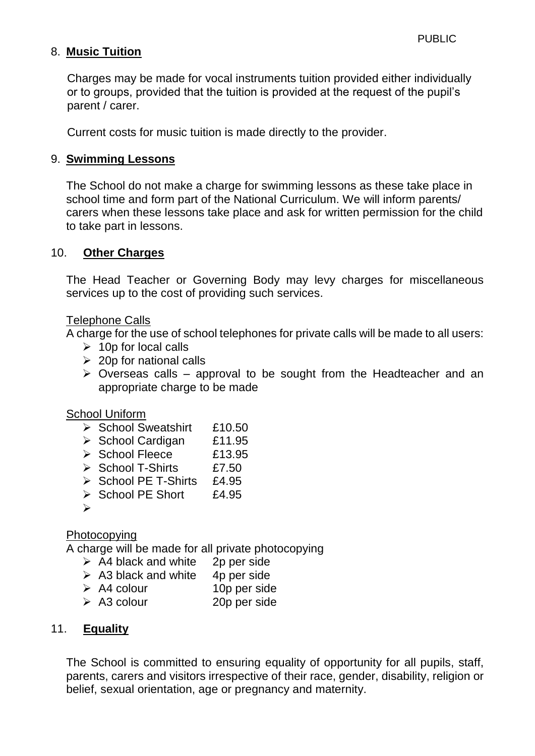## 8. **Music Tuition**

Charges may be made for vocal instruments tuition provided either individually or to groups, provided that the tuition is provided at the request of the pupil's parent / carer.

Current costs for music tuition is made directly to the provider.

#### 9. **Swimming Lessons**

The School do not make a charge for swimming lessons as these take place in school time and form part of the National Curriculum. We will inform parents/ carers when these lessons take place and ask for written permission for the child to take part in lessons.

#### 10. **Other Charges**

The Head Teacher or Governing Body may levy charges for miscellaneous services up to the cost of providing such services.

#### Telephone Calls

A charge for the use of school telephones for private calls will be made to all users:

- $\geq 10p$  for local calls
- $\geq$  20p for national calls
- $\triangleright$  Overseas calls approval to be sought from the Headteacher and an appropriate charge to be made

#### School Uniform

- ▶ School Sweatshirt £10.50
- ▶ School Cardigan £11.95
- ▶ School Fleece £13.95
- $\geq$  School T-Shirts  $f7.50$
- $\triangleright$  School PE T-Shirts £4.95
- $\triangleright$  School PE Short £4.95
- $\blacktriangleright$

#### Photocopying

A charge will be made for all private photocopying

- $\triangleright$  A4 black and white 2p per side
- $\geq$  A3 black and white 4p per side
- A4 colour 10p per side
- A3 colour 20p per side

#### 11. **Equality**

The School is committed to ensuring equality of opportunity for all pupils, staff, parents, carers and visitors irrespective of their race, gender, disability, religion or belief, sexual orientation, age or pregnancy and maternity.